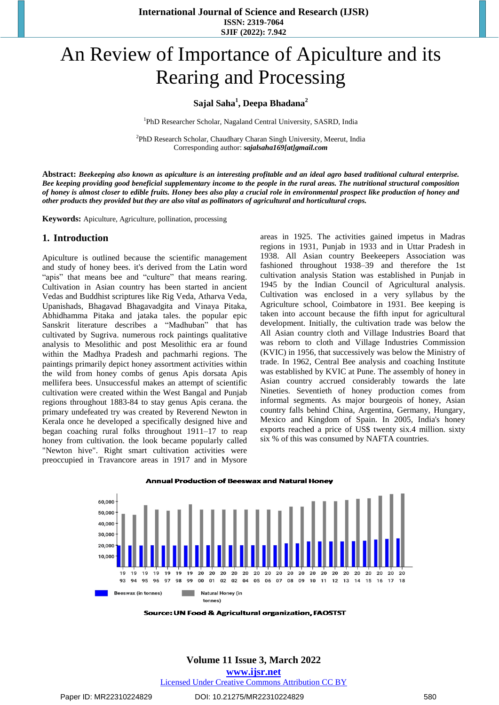**International Journal of Science and Research (IJSR) ISSN: 2319-7064 SJIF (2022): 7.942**

# An Review of Importance of Apiculture and its Rearing and Processing

# **Sajal Saha<sup>1</sup> , Deepa Bhadana<sup>2</sup>**

<sup>1</sup>PhD Researcher Scholar, Nagaland Central University, SASRD, India

<sup>2</sup>PhD Research Scholar, Chaudhary Charan Singh University, Meerut, India Corresponding author: *[sajalsaha169\[at\]gmail.com](mailto:Sajalsaha169@gmail.com)*

Abstract: Beekeeping also known as apiculture is an interesting profitable and an ideal agro based traditional cultural enterprise. Bee keeping providing good beneficial supplementary income to the people in the rural areas. The nutritional structural composition of honey is almost closer to edible fruits. Honey bees also play a crucial role in environmental prospect like production of honey and *other products they provided but they are also vital as pollinators of agricultural and horticultural crops.*

**Keywords:** Apiculture, Agriculture, pollination, processing

## **1. Introduction**

Apiculture is outlined because the scientific management and study of honey bees. it's derived from the Latin word "apis" that means bee and "culture" that means rearing. Cultivation in Asian country has been started in ancient Vedas and Buddhist scriptures like Rig Veda, Atharva Veda, Upanishads, Bhagavad Bhagavadgita and Vinaya Pitaka, Abhidhamma Pitaka and jataka tales. the popular epic Sanskrit literature describes a "Madhuban" that has cultivated by Sugriva. numerous rock paintings qualitative analysis to Mesolithic and post Mesolithic era ar found within the Madhya Pradesh and pachmarhi regions. The paintings primarily depict honey assortment activities within the wild from honey combs of genus Apis dorsata Apis mellifera bees. Unsuccessful makes an attempt of scientific cultivation were created within the West Bangal and Punjab regions throughout 1883-84 to stay genus Apis cerana. the primary undefeated try was created by Reverend Newton in Kerala once he developed a specifically designed hive and began coaching rural folks throughout 1911–17 to reap honey from cultivation. the look became popularly called "Newton hive". Right smart cultivation activities were preoccupied in Travancore areas in 1917 and in Mysore areas in 1925. The activities gained impetus in Madras regions in 1931, Punjab in 1933 and in Uttar Pradesh in 1938. All Asian country Beekeepers Association was fashioned throughout 1938–39 and therefore the 1st cultivation analysis Station was established in Punjab in 1945 by the Indian Council of Agricultural analysis. Cultivation was enclosed in a very syllabus by the Agriculture school, Coimbatore in 1931. Bee keeping is taken into account because the fifth input for agricultural development. Initially, the cultivation trade was below the All Asian country cloth and Village Industries Board that was reborn to cloth and Village Industries Commission (KVIC) in 1956, that successively was below the Ministry of trade. In 1962, Central Bee analysis and coaching Institute was established by KVIC at Pune. The assembly of honey in Asian country accrued considerably towards the late Nineties. Seventieth of honey production comes from informal segments. As major bourgeois of honey, Asian country falls behind China, Argentina, Germany, Hungary, Mexico and Kingdom of Spain. In 2005, India's honey exports reached a price of US\$ twenty six.4 million. sixty six % of this was consumed by NAFTA countries.



**Annual Production of Beeswax and Natural Honey** 

**Source: UN Food & Agricultural organization, FAOSTST** 

#### **Volume 11 Issue 3, March 2022**

**www.ijsr.net**

Licensed Under Creative Commons Attribution CC BY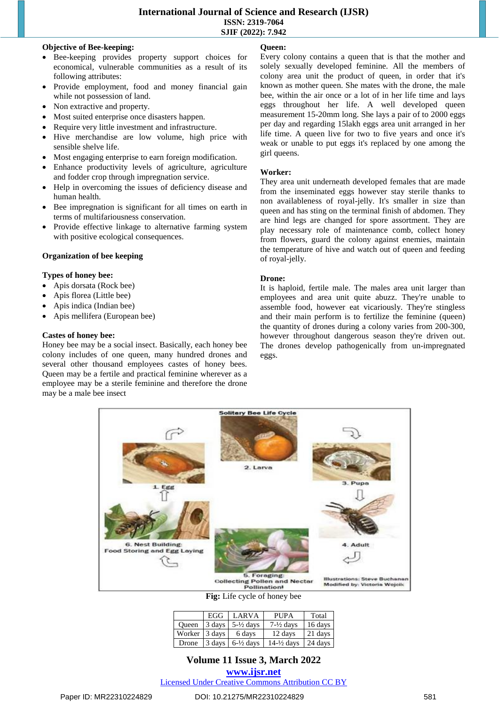### **Objective of Bee-keeping:**

- Bee-keeping provides property support choices for economical, vulnerable communities as a result of its following attributes:
- Provide employment, food and money financial gain while not possession of land.
- Non extractive and property.
- Most suited enterprise once disasters happen.
- Require very little investment and infrastructure.
- Hive merchandise are low volume, high price with sensible shelve life.
- Most engaging enterprise to earn foreign modification.
- Enhance productivity levels of agriculture, agriculture and fodder crop through impregnation service.
- Help in overcoming the issues of deficiency disease and human health.
- Bee impregnation is significant for all times on earth in terms of multifariousness conservation.
- Provide effective linkage to alternative farming system with positive ecological consequences.

# **Organization of bee keeping**

#### **Types of honey bee:**

- Apis dorsata (Rock bee)
- Apis florea (Little bee)
- Apis indica (Indian bee)
- Apis mellifera (European bee)

# **Castes of honey bee:**

Honey bee may be a social insect. Basically, each honey bee colony includes of one queen, many hundred drones and several other thousand employees castes of honey bees. Queen may be a fertile and practical feminine wherever as a employee may be a sterile feminine and therefore the drone may be a male bee insect

# **Queen:**

Every colony contains a queen that is that the mother and solely sexually developed feminine. All the members of colony area unit the product of queen, in order that it's known as mother queen. She mates with the drone, the male bee, within the air once or a lot of in her life time and lays eggs throughout her life. A well developed queen measurement 15-20mm long. She lays a pair of to 2000 eggs per day and regarding 15lakh eggs area unit arranged in her life time. A queen live for two to five years and once it's weak or unable to put eggs it's replaced by one among the girl queens.

## **Worker:**

They area unit underneath developed females that are made from the inseminated eggs however stay sterile thanks to non availableness of royal-jelly. It's smaller in size than queen and has sting on the terminal finish of abdomen. They are hind legs are changed for spore assortment. They are play necessary role of maintenance comb, collect honey from flowers, guard the colony against enemies, maintain the temperature of hive and watch out of queen and feeding of royal-jelly.

# **Drone:**

It is haploid, fertile male. The males area unit larger than employees and area unit quite abuzz. They're unable to assemble food, however eat vicariously. They're stingless and their main perform is to fertilize the feminine (queen) the quantity of drones during a colony varies from 200-300, however throughout dangerous season they're driven out. The drones develop pathogenically from un-impregnated eggs.



**Fig:** Life cycle of honey bee

|               | EGG LARVA                                          | <b>PUPA</b>           | Total     |
|---------------|----------------------------------------------------|-----------------------|-----------|
|               | Oueen $\vert$ 3 days $\vert$ 5- $\frac{1}{2}$ days | $7-\frac{1}{2}$ days  | 16 days   |
| Worker 3 days | 6 days                                             | 12 days               | 21 days   |
| Drone         | $\vert$ 3 days $\vert$ 6- $\frac{1}{2}$ days       | $14-\frac{1}{2}$ days | $24$ days |

# **Volume 11 Issue 3, March 2022**

**www.ijsr.net**

Licensed Under Creative Commons Attribution CC BY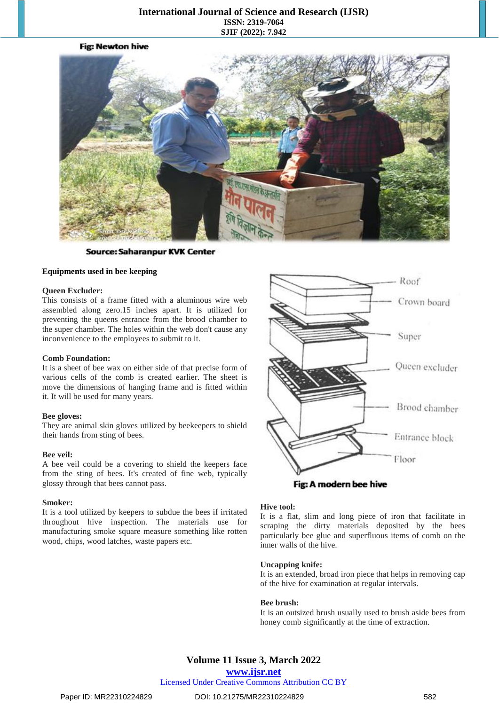# **International Journal of Science and Research (IJSR) ISSN: 2319-7064 SJIF (2022): 7.942**



**Source: Saharanpur KVK Center** 

#### **Equipments used in bee keeping**

#### **Queen Excluder:**

This consists of a frame fitted with a aluminous wire web assembled along zero.15 inches apart. It is utilized for preventing the queens entrance from the brood chamber to the super chamber. The holes within the web don't cause any inconvenience to the employees to submit to it.

#### **Comb Foundation:**

It is a sheet of bee wax on either side of that precise form of various cells of the comb is created earlier. The sheet is move the dimensions of hanging frame and is fitted within it. It will be used for many years.

#### **Bee gloves:**

They are animal skin gloves utilized by beekeepers to shield their hands from sting of bees.

#### **Bee veil:**

A bee veil could be a covering to shield the keepers face from the sting of bees. It's created of fine web, typically glossy through that bees cannot pass.

#### **Smoker:**

It is a tool utilized by keepers to subdue the bees if irritated throughout hive inspection. The materials use for manufacturing smoke square measure something like rotten wood, chips, wood latches, waste papers etc.



Fig: A modern bee hive

#### **Hive tool:**

It is a flat, slim and long piece of iron that facilitate in scraping the dirty materials deposited by the bees particularly bee glue and superfluous items of comb on the inner walls of the hive.

#### **Uncapping knife:**

It is an extended, broad iron piece that helps in removing cap of the hive for examination at regular intervals.

#### **Bee brush:**

It is an outsized brush usually used to brush aside bees from honey comb significantly at the time of extraction.

# **Volume 11 Issue 3, March 2022**

**www.ijsr.net**

Licensed Under Creative Commons Attribution CC BY

#### Paper ID: MR22310224829 DOI: 10.21275/MR22310224829 582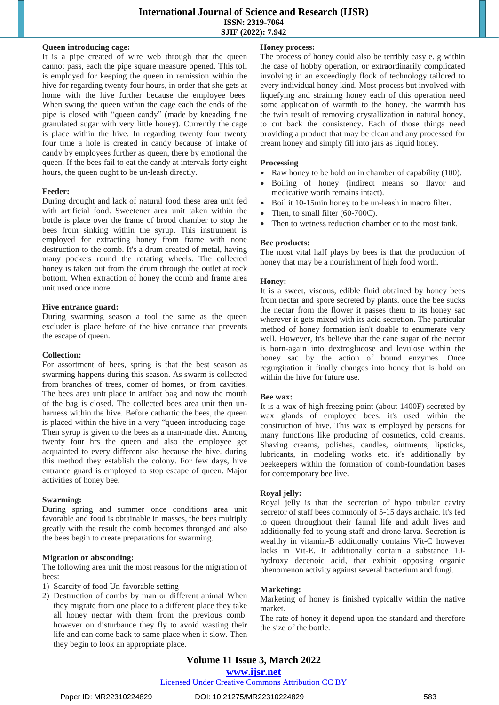# **International Journal of Science and Research (IJSR) ISSN: 2319-7064 SJIF (2022): 7.942**

# **Queen introducing cage:**

It is a pipe created of wire web through that the queen cannot pass, each the pipe square measure opened. This toll is employed for keeping the queen in remission within the hive for regarding twenty four hours, in order that she gets at home with the hive further because the employee bees. When swing the queen within the cage each the ends of the pipe is closed with "queen candy" (made by kneading fine granulated sugar with very little honey). Currently the cage is place within the hive. In regarding twenty four twenty four time a hole is created in candy because of intake of candy by employees further as queen, there by emotional the queen. If the bees fail to eat the candy at intervals forty eight hours, the queen ought to be un-leash directly.

#### **Feeder:**

During drought and lack of natural food these area unit fed with artificial food. Sweetener area unit taken within the bottle is place over the frame of brood chamber to stop the bees from sinking within the syrup. This instrument is employed for extracting honey from frame with none destruction to the comb. It's a drum created of metal, having many pockets round the rotating wheels. The collected honey is taken out from the drum through the outlet at rock bottom. When extraction of honey the comb and frame area unit used once more.

#### **Hive entrance guard:**

During swarming season a tool the same as the queen excluder is place before of the hive entrance that prevents the escape of queen.

#### **Collection:**

For assortment of bees, spring is that the best season as swarming happens during this season. As swarm is collected from branches of trees, comer of homes, or from cavities. The bees area unit place in artifact bag and now the mouth of the bag is closed. The collected bees area unit then unharness within the hive. Before cathartic the bees, the queen is placed within the hive in a very "queen introducing cage. Then syrup is given to the bees as a man-made diet. Among twenty four hrs the queen and also the employee get acquainted to every different also because the hive. during this method they establish the colony. For few days, hive entrance guard is employed to stop escape of queen. Major activities of honey bee.

#### **Swarming:**

During spring and summer once conditions area unit favorable and food is obtainable in masses, the bees multiply greatly with the result the comb becomes thronged and also the bees begin to create preparations for swarming.

#### **Migration or absconding:**

The following area unit the most reasons for the migration of bees:

- 1) Scarcity of food Un-favorable setting
- 2) Destruction of combs by man or different animal When they migrate from one place to a different place they take all honey nectar with them from the previous comb. however on disturbance they fly to avoid wasting their life and can come back to same place when it slow. Then they begin to look an appropriate place.

#### **Honey process:**

The process of honey could also be terribly easy e. g within the case of hobby operation, or extraordinarily complicated involving in an exceedingly flock of technology tailored to every individual honey kind. Most process but involved with liquefying and straining honey each of this operation need some application of warmth to the honey. the warmth has the twin result of removing crystallization in natural honey, to cut back the consistency. Each of those things need providing a product that may be clean and any processed for cream honey and simply fill into jars as liquid honey.

#### **Processing**

- Raw honey to be hold on in chamber of capability (100).
- Boiling of honey (indirect means so flavor and medicative worth remains intact).
- Boil it 10-15min honey to be un-leash in macro filter.
- Then, to small filter (60-700C).
- Then to wetness reduction chamber or to the most tank.

#### **Bee products:**

The most vital half plays by bees is that the production of honey that may be a nourishment of high food worth.

#### **Honey:**

It is a sweet, viscous, edible fluid obtained by honey bees from nectar and spore secreted by plants. once the bee sucks the nectar from the flower it passes them to its honey sac wherever it gets mixed with its acid secretion. The particular method of honey formation isn't doable to enumerate very well. However, it's believe that the cane sugar of the nectar is born-again into dextroglucose and levulose within the honey sac by the action of bound enzymes. Once regurgitation it finally changes into honey that is hold on within the hive for future use.

#### **Bee wax:**

It is a wax of high freezing point (about 1400F) secreted by wax glands of employee bees. it's used within the construction of hive. This wax is employed by persons for many functions like producing of cosmetics, cold creams. Shaving creams, polishes, candles, ointments, lipsticks, lubricants, in modeling works etc. it's additionally by beekeepers within the formation of comb-foundation bases for contemporary bee live.

#### **Royal jelly:**

Royal jelly is that the secretion of hypo tubular cavity secretor of staff bees commonly of 5-15 days archaic. It's fed to queen throughout their faunal life and adult lives and additionally fed to young staff and drone larva. Secretion is wealthy in vitamin-B additionally contains Vit-C however lacks in Vit-E. It additionally contain a substance 10 hydroxy decenoic acid, that exhibit opposing organic phenomenon activity against several bacterium and fungi.

#### **Marketing:**

Marketing of honey is finished typically within the native market.

The rate of honey it depend upon the standard and therefore the size of the bottle.

# **Volume 11 Issue 3, March 2022**

**www.ijsr.net**

Licensed Under Creative Commons Attribution CC BY

#### Paper ID: MR22310224829 DOI: 10.21275/MR22310224829 583